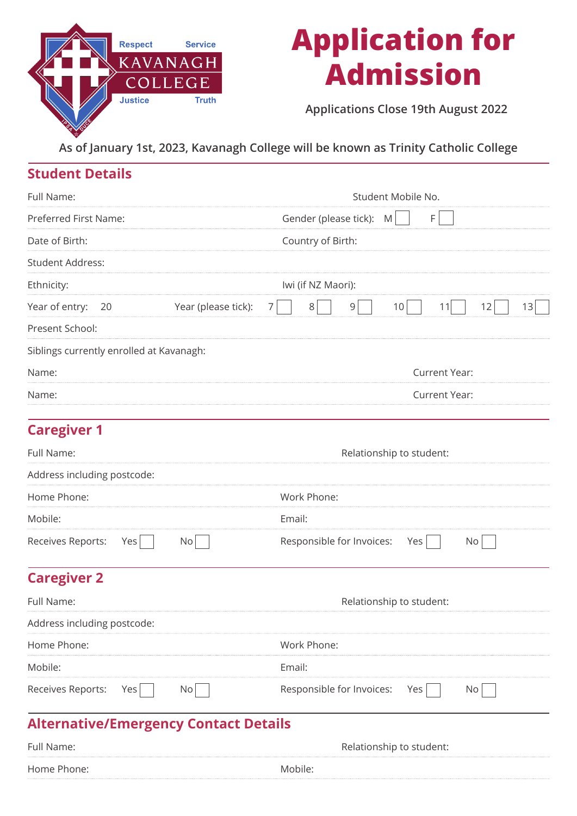

# **Application for Admission**

**Applications Close 19th August 2022**

**As of January 1st, 2023, Kavanagh College will be known as Trinity Catholic College**

# **Student Details**

| Full Name:                               | Student Mobile No.           |                   |                    |                           |                          |                      |    |    |
|------------------------------------------|------------------------------|-------------------|--------------------|---------------------------|--------------------------|----------------------|----|----|
| Preferred First Name:                    | Gender (please tick): M<br>F |                   |                    |                           |                          |                      |    |    |
| Date of Birth:                           |                              | Country of Birth: |                    |                           |                          |                      |    |    |
| <b>Student Address:</b>                  |                              |                   |                    |                           |                          |                      |    |    |
| Ethnicity:                               |                              |                   | Iwi (if NZ Maori): |                           |                          |                      |    |    |
| Year of entry:<br>20                     | Year (please tick):          | 7                 | 8                  | 9                         | 10                       | 11                   | 12 | 13 |
| Present School:                          |                              |                   |                    |                           |                          |                      |    |    |
| Siblings currently enrolled at Kavanagh: |                              |                   |                    |                           |                          |                      |    |    |
| Name:                                    |                              |                   |                    |                           |                          | <b>Current Year:</b> |    |    |
| Name:                                    |                              |                   | Current Year:      |                           |                          |                      |    |    |
| <b>Caregiver 1</b>                       |                              |                   |                    |                           |                          |                      |    |    |
| Full Name:                               |                              |                   |                    |                           | Relationship to student: |                      |    |    |
| Address including postcode:              |                              |                   |                    |                           |                          |                      |    |    |
| Home Phone:                              |                              |                   | Work Phone:        |                           |                          |                      |    |    |
| Mobile:                                  |                              | Email:            |                    |                           |                          |                      |    |    |
| Receives Reports:<br>Yes                 | No                           |                   |                    | Responsible for Invoices: | Yes                      |                      | No |    |
| <b>Caregiver 2</b>                       |                              |                   |                    |                           |                          |                      |    |    |
| Full Name:                               |                              |                   |                    |                           | Relationship to student: |                      |    |    |

| Address including postcode: |     |                               |  |
|-----------------------------|-----|-------------------------------|--|
| Home Phone:                 |     | Work Phone:                   |  |
| Mobile:                     |     | Email:                        |  |
| Receives Reports:           | Yes | Responsible for Invoices: Yes |  |

# **Alternative/Emergency Contact Details**

| Full Name:  | Relationship to student: |
|-------------|--------------------------|
| Home Phone: | Mobile:                  |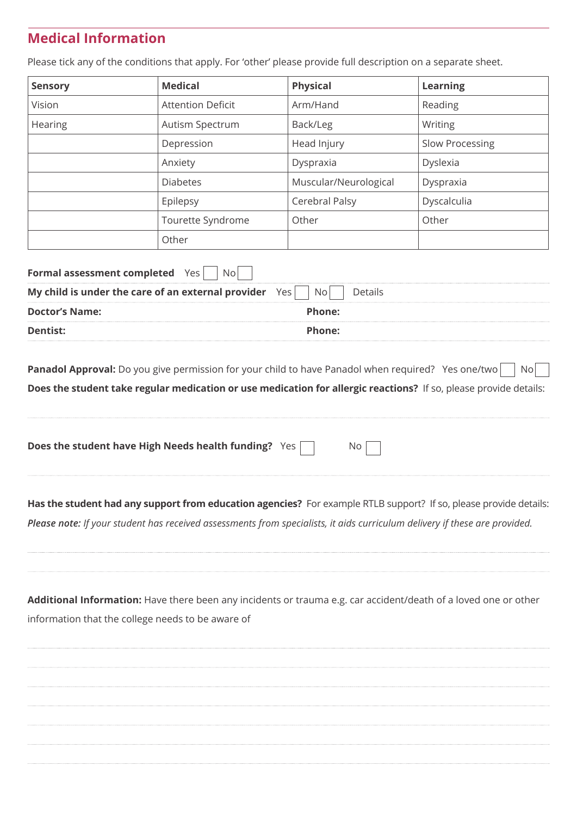# **Medical Information**

**Sensory Medical Physical Learning** Vision Attention Deficit Arm/Hand Reading Hearing Autism Spectrum Back/Leg Writing Depression | Head Injury | Slow Processing Anxiety Dyspraxia Dyslexia Diabetes Muscular/Neurological Dyspraxia Epilepsy Cerebral Palsy Dyscalculia Tourette Syndrome Other Other **Other** 

Please tick any of the conditions that apply. For 'other' please provide full description on a separate sheet.

| <b>Formal assessment completed</b> Yes                 |        |
|--------------------------------------------------------|--------|
| My child is under the care of an external provider Yes |        |
| <b>Doctor's Name:</b>                                  | Phone: |
| Dentist:                                               | Phone: |

**Panadol Approval:** Do you give permission for your child to have Panadol when required? Yes one/two No **Does the student take regular medication or use medication for allergic reactions?** If so, please provide details:

**Has the student had any support from education agencies?** For example RTLB support? If so, please provide details: *Please note: If your student has received assessments from specialists, it aids curriculum delivery if these are provided.*

**Additional Information:** Have there been any incidents or trauma e.g. car accident/death of a loved one or other information that the college needs to be aware of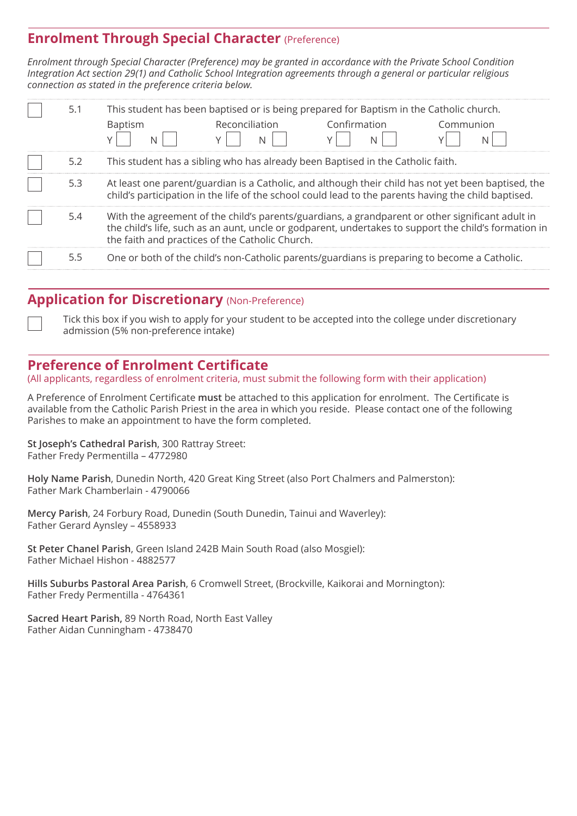## **Enrolment Through Special Character (Preference)**

*Enrolment through Special Character (Preference) may be granted in accordance with the Private School Condition Integration Act section 29(1) and Catholic School Integration agreements through a general or particular religious connection as stated in the preference criteria below.*

| 5.1 | This student has been baptised or is being prepared for Baptism in the Catholic church. |                |                                                                                                      |                                                                                                       |
|-----|-----------------------------------------------------------------------------------------|----------------|------------------------------------------------------------------------------------------------------|-------------------------------------------------------------------------------------------------------|
|     | <b>Baptism</b>                                                                          | Reconciliation | Confirmation                                                                                         | Communion                                                                                             |
|     |                                                                                         |                |                                                                                                      |                                                                                                       |
| 5.2 |                                                                                         |                | This student has a sibling who has already been Baptised in the Catholic faith.                      |                                                                                                       |
| 5.3 |                                                                                         |                | child's participation in the life of the school could lead to the parents having the child baptised. | At least one parent/guardian is a Catholic, and although their child has not yet been baptised, the   |
| 5.4 | the faith and practices of the Catholic Church.                                         |                | With the agreement of the child's parents/guardians, a grandparent or other significant adult in     | the child's life, such as an aunt, uncle or godparent, undertakes to support the child's formation in |
|     |                                                                                         |                | One or both of the child's non-Catholic parents/guardians is preparing to become a Catholic.         |                                                                                                       |

## **Application for Discretionary (Non-Preference)**

Tick this box if you wish to apply for your student to be accepted into the college under discretionary admission (5% non-preference intake)

## **Preference of Enrolment Certificate**

(All applicants, regardless of enrolment criteria, must submit the following form with their application)

A Preference of Enrolment Certificate **must** be attached to this application for enrolment. The Certificate is available from the Catholic Parish Priest in the area in which you reside. Please contact one of the following Parishes to make an appointment to have the form completed.

**St Joseph's Cathedral Parish**, 300 Rattray Street: Father Fredy Permentilla – 4772980

**Holy Name Parish**, Dunedin North, 420 Great King Street (also Port Chalmers and Palmerston): Father Mark Chamberlain - 4790066

**Mercy Parish**, 24 Forbury Road, Dunedin (South Dunedin, Tainui and Waverley): Father Gerard Aynsley – 4558933

**St Peter Chanel Parish**, Green Island 242B Main South Road (also Mosgiel): Father Michael Hishon - 4882577

**Hills Suburbs Pastoral Area Parish**, 6 Cromwell Street, (Brockville, Kaikorai and Mornington): Father Fredy Permentilla - 4764361

**Sacred Heart Parish,** 89 North Road, North East Valley Father Aidan Cunningham - 4738470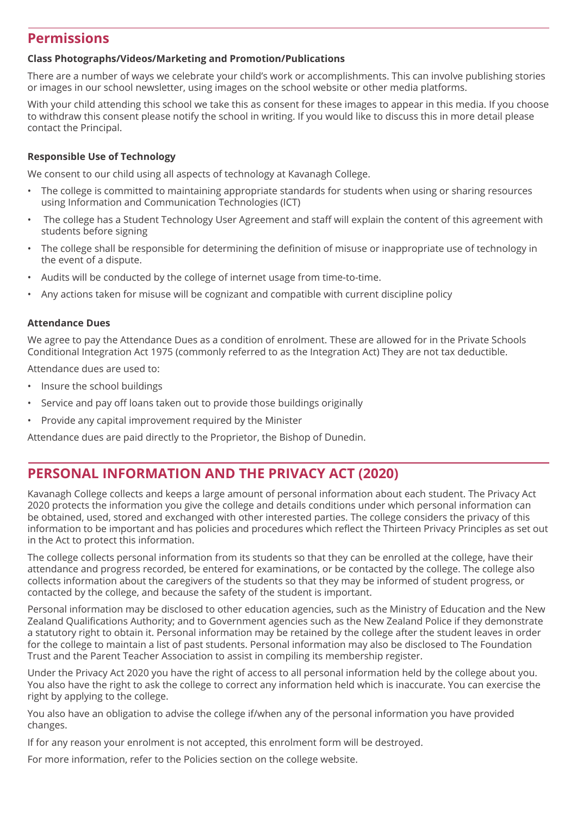## **Permissions**

#### **Class Photographs/Videos/Marketing and Promotion/Publications**

There are a number of ways we celebrate your child's work or accomplishments. This can involve publishing stories or images in our school newsletter, using images on the school website or other media platforms.

With your child attending this school we take this as consent for these images to appear in this media. If you choose to withdraw this consent please notify the school in writing. If you would like to discuss this in more detail please contact the Principal.

#### **Responsible Use of Technology**

We consent to our child using all aspects of technology at Kavanagh College.

- The college is committed to maintaining appropriate standards for students when using or sharing resources using Information and Communication Technologies (ICT)
- The college has a Student Technology User Agreement and staff will explain the content of this agreement with students before signing
- The college shall be responsible for determining the definition of misuse or inappropriate use of technology in the event of a dispute.
- Audits will be conducted by the college of internet usage from time-to-time.
- Any actions taken for misuse will be cognizant and compatible with current discipline policy

#### **Attendance Dues**

We agree to pay the Attendance Dues as a condition of enrolment. These are allowed for in the Private Schools Conditional Integration Act 1975 (commonly referred to as the Integration Act) They are not tax deductible.

Attendance dues are used to:

- Insure the school buildings
- Service and pay off loans taken out to provide those buildings originally
- Provide any capital improvement required by the Minister

Attendance dues are paid directly to the Proprietor, the Bishop of Dunedin.

## **PERSONAL INFORMATION AND THE PRIVACY ACT (2020)**

Kavanagh College collects and keeps a large amount of personal information about each student. The Privacy Act 2020 protects the information you give the college and details conditions under which personal information can be obtained, used, stored and exchanged with other interested parties. The college considers the privacy of this information to be important and has policies and procedures which reflect the Thirteen Privacy Principles as set out in the Act to protect this information.

The college collects personal information from its students so that they can be enrolled at the college, have their attendance and progress recorded, be entered for examinations, or be contacted by the college. The college also collects information about the caregivers of the students so that they may be informed of student progress, or contacted by the college, and because the safety of the student is important.

Personal information may be disclosed to other education agencies, such as the Ministry of Education and the New Zealand Qualifications Authority; and to Government agencies such as the New Zealand Police if they demonstrate a statutory right to obtain it. Personal information may be retained by the college after the student leaves in order for the college to maintain a list of past students. Personal information may also be disclosed to The Foundation Trust and the Parent Teacher Association to assist in compiling its membership register.

Under the Privacy Act 2020 you have the right of access to all personal information held by the college about you. You also have the right to ask the college to correct any information held which is inaccurate. You can exercise the right by applying to the college.

You also have an obligation to advise the college if/when any of the personal information you have provided changes.

If for any reason your enrolment is not accepted, this enrolment form will be destroyed.

For more information, refer to the Policies section on the college website.